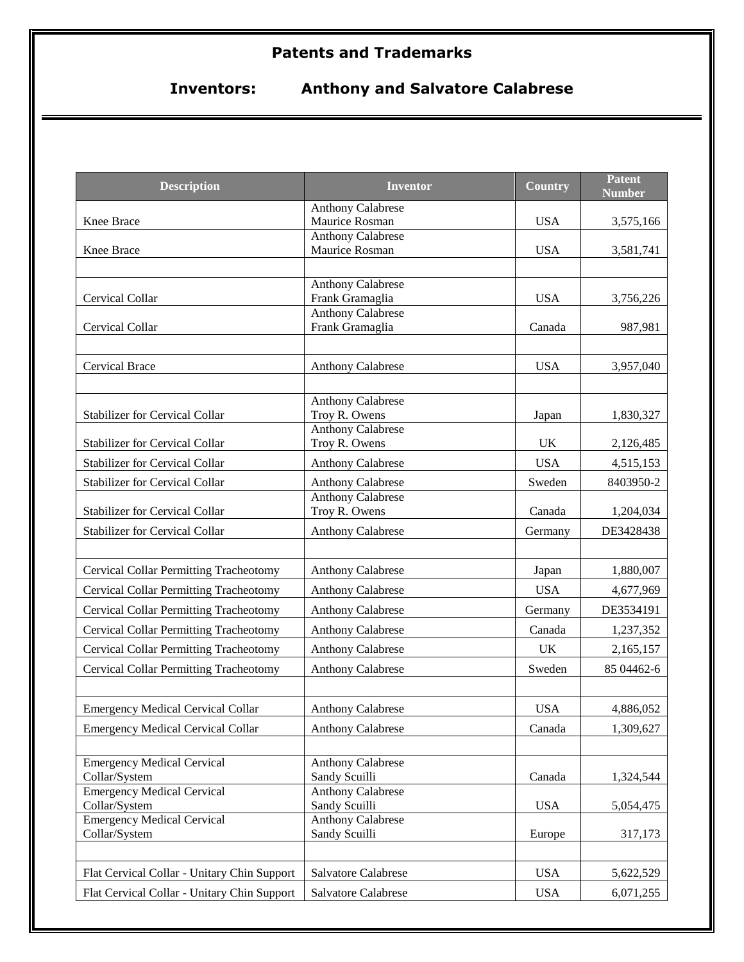# **Patents and Trademarks**

# **Inventors: Anthony and Salvatore Calabrese**

| <b>Description</b>                            | <b>Inventor</b>                             | <b>Country</b> | <b>Patent</b><br><b>Number</b> |
|-----------------------------------------------|---------------------------------------------|----------------|--------------------------------|
|                                               | <b>Anthony Calabrese</b>                    |                |                                |
| Knee Brace                                    | Maurice Rosman                              | <b>USA</b>     | 3,575,166                      |
|                                               | <b>Anthony Calabrese</b>                    |                |                                |
| Knee Brace                                    | Maurice Rosman                              | <b>USA</b>     | 3,581,741                      |
|                                               |                                             |                |                                |
| Cervical Collar                               | <b>Anthony Calabrese</b><br>Frank Gramaglia | <b>USA</b>     | 3,756,226                      |
|                                               | <b>Anthony Calabrese</b>                    |                |                                |
| Cervical Collar                               | Frank Gramaglia                             | Canada         | 987,981                        |
|                                               |                                             |                |                                |
| <b>Cervical Brace</b>                         | <b>Anthony Calabrese</b>                    | <b>USA</b>     | 3,957,040                      |
|                                               |                                             |                |                                |
|                                               | <b>Anthony Calabrese</b>                    |                |                                |
| <b>Stabilizer for Cervical Collar</b>         | Troy R. Owens                               | Japan          | 1,830,327                      |
|                                               | <b>Anthony Calabrese</b>                    |                |                                |
| <b>Stabilizer for Cervical Collar</b>         | Troy R. Owens                               | <b>UK</b>      | 2,126,485                      |
| <b>Stabilizer for Cervical Collar</b>         | <b>Anthony Calabrese</b>                    | <b>USA</b>     | 4,515,153                      |
| Stabilizer for Cervical Collar                | <b>Anthony Calabrese</b>                    | Sweden         | 8403950-2                      |
|                                               | <b>Anthony Calabrese</b>                    |                |                                |
| <b>Stabilizer for Cervical Collar</b>         | Troy R. Owens                               | Canada         | 1,204,034                      |
| <b>Stabilizer for Cervical Collar</b>         | <b>Anthony Calabrese</b>                    | Germany        | DE3428438                      |
|                                               |                                             |                |                                |
| <b>Cervical Collar Permitting Tracheotomy</b> | <b>Anthony Calabrese</b>                    | Japan          | 1,880,007                      |
| <b>Cervical Collar Permitting Tracheotomy</b> | <b>Anthony Calabrese</b>                    | <b>USA</b>     | 4,677,969                      |
| <b>Cervical Collar Permitting Tracheotomy</b> | <b>Anthony Calabrese</b>                    | Germany        | DE3534191                      |
| <b>Cervical Collar Permitting Tracheotomy</b> | <b>Anthony Calabrese</b>                    | Canada         | 1,237,352                      |
| Cervical Collar Permitting Tracheotomy        | <b>Anthony Calabrese</b>                    | <b>UK</b>      | 2,165,157                      |
| Cervical Collar Permitting Tracheotomy        | <b>Anthony Calabrese</b>                    | Sweden         | 85 04462-6                     |
|                                               |                                             |                |                                |
| <b>Emergency Medical Cervical Collar</b>      | <b>Anthony Calabrese</b>                    | <b>USA</b>     | 4,886,052                      |
| <b>Emergency Medical Cervical Collar</b>      | <b>Anthony Calabrese</b>                    | Canada         | 1,309,627                      |
|                                               |                                             |                |                                |
| <b>Emergency Medical Cervical</b>             | <b>Anthony Calabrese</b>                    |                |                                |
| Collar/System                                 | Sandy Scuilli                               | Canada         | 1,324,544                      |
| <b>Emergency Medical Cervical</b>             | <b>Anthony Calabrese</b>                    |                |                                |
| Collar/System                                 | Sandy Scuilli                               | <b>USA</b>     | 5,054,475                      |
| <b>Emergency Medical Cervical</b>             | <b>Anthony Calabrese</b><br>Sandy Scuilli   |                |                                |
| Collar/System                                 |                                             | Europe         | 317,173                        |
|                                               |                                             |                |                                |
| Flat Cervical Collar - Unitary Chin Support   | Salvatore Calabrese                         | <b>USA</b>     | 5,622,529                      |
| Flat Cervical Collar - Unitary Chin Support   | Salvatore Calabrese                         | <b>USA</b>     | 6,071,255                      |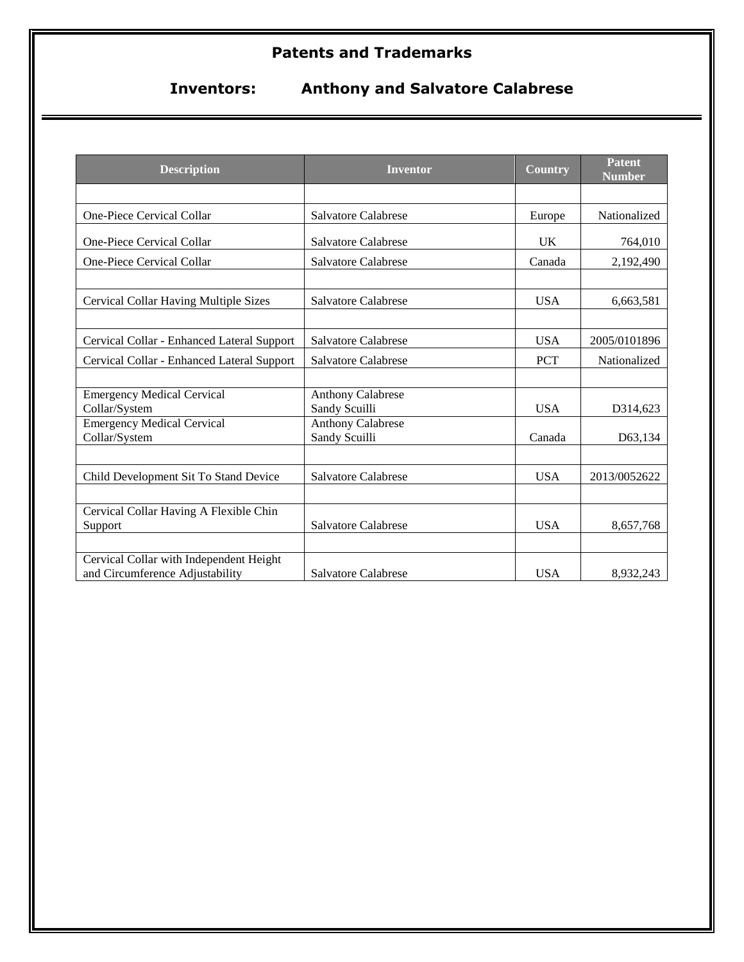# **Patents and Trademarks**

**Inventors: Anthony and Salvatore Calabrese**

| <b>Description</b>                                                         | <b>Inventor</b>                           | <b>Country</b> | <b>Patent</b><br>Number |
|----------------------------------------------------------------------------|-------------------------------------------|----------------|-------------------------|
|                                                                            |                                           |                |                         |
| One-Piece Cervical Collar                                                  | Salvatore Calabrese                       | Europe         | Nationalized            |
| One-Piece Cervical Collar                                                  | Salvatore Calabrese                       | U <sub>K</sub> | 764,010                 |
| <b>One-Piece Cervical Collar</b>                                           | Salvatore Calabrese                       | Canada         | 2,192,490               |
|                                                                            |                                           |                |                         |
| Cervical Collar Having Multiple Sizes                                      | Salvatore Calabrese                       | <b>USA</b>     | 6,663,581               |
|                                                                            |                                           |                |                         |
| Cervical Collar - Enhanced Lateral Support                                 | Salvatore Calabrese                       | <b>USA</b>     | 2005/0101896            |
| Cervical Collar - Enhanced Lateral Support                                 | Salvatore Calabrese                       | <b>PCT</b>     | Nationalized            |
|                                                                            |                                           |                |                         |
| <b>Emergency Medical Cervical</b><br>Collar/System                         | <b>Anthony Calabrese</b><br>Sandy Scuilli | <b>USA</b>     | D314,623                |
| <b>Emergency Medical Cervical</b>                                          | <b>Anthony Calabrese</b>                  |                |                         |
| Collar/System                                                              | Sandy Scuilli                             | Canada         | D63,134                 |
|                                                                            |                                           |                |                         |
| Child Development Sit To Stand Device                                      | Salvatore Calabrese                       | <b>USA</b>     | 2013/0052622            |
|                                                                            |                                           |                |                         |
| Cervical Collar Having A Flexible Chin                                     |                                           |                |                         |
| Support                                                                    | Salvatore Calabrese                       | <b>USA</b>     | 8,657,768               |
|                                                                            |                                           |                |                         |
| Cervical Collar with Independent Height<br>and Circumference Adjustability | Salvatore Calabrese                       | <b>USA</b>     | 8,932,243               |